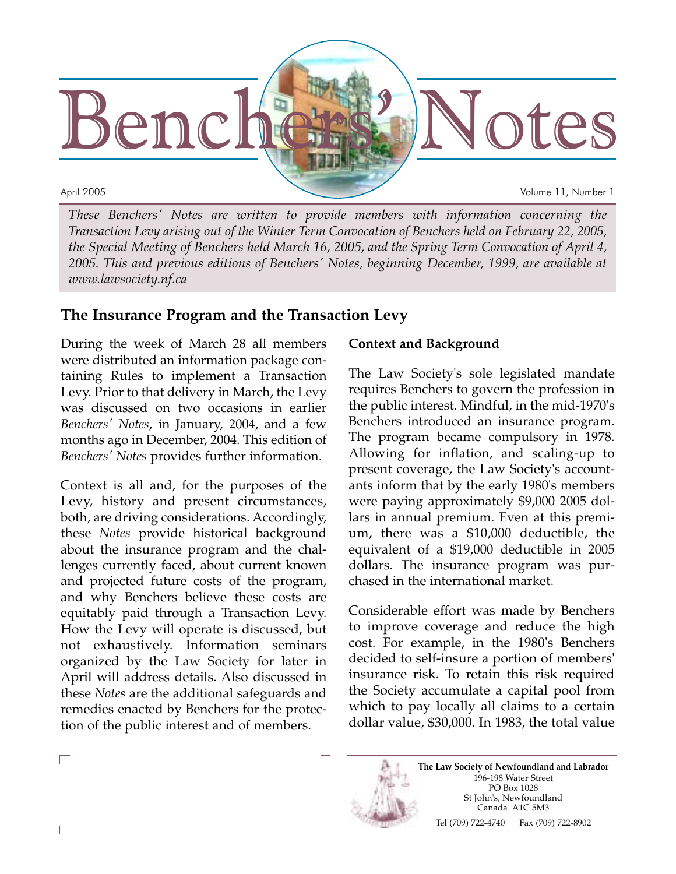

*These Benchers' Notes are written to provide members with information concerning the Transaction Levy arising out of the Winter Term Convocation of Benchers held on February 22, 2005, the Special Meeting of Benchers held March 16, 2005, and the Spring Term Convocation of April 4, 2005. This and previous editions of Benchers' Notes, beginning December, 1999, are available at www.lawsociety.nf.ca*

# **The Insurance Program and the Transaction Levy**

During the week of March 28 all members were distributed an information package containing Rules to implement a Transaction Levy. Prior to that delivery in March, the Levy was discussed on two occasions in earlier *Benchers' Notes*, in January, 2004, and a few months ago in December, 2004. This edition of *Benchers' Notes* provides further information.

Context is all and, for the purposes of the Levy, history and present circumstances, both, are driving considerations. Accordingly, these *Notes* provide historical background about the insurance program and the challenges currently faced, about current known and projected future costs of the program, and why Benchers believe these costs are equitably paid through a Transaction Levy. How the Levy will operate is discussed, but not exhaustively. Information seminars organized by the Law Society for later in April will address details. Also discussed in these *Notes* are the additional safeguards and remedies enacted by Benchers for the protection of the public interest and of members.

#### **Context and Background**

The Law Society's sole legislated mandate requires Benchers to govern the profession in the public interest. Mindful, in the mid-1970's Benchers introduced an insurance program. The program became compulsory in 1978. Allowing for inflation, and scaling-up to present coverage, the Law Society's accountants inform that by the early 1980's members were paying approximately \$9,000 2005 dollars in annual premium. Even at this premium, there was a \$10,000 deductible, the equivalent of a \$19,000 deductible in 2005 dollars. The insurance program was purchased in the international market.

Considerable effort was made by Benchers to improve coverage and reduce the high cost. For example, in the 1980's Benchers decided to self-insure a portion of members' insurance risk. To retain this risk required the Society accumulate a capital pool from which to pay locally all claims to a certain dollar value, \$30,000. In 1983, the total value



L

Г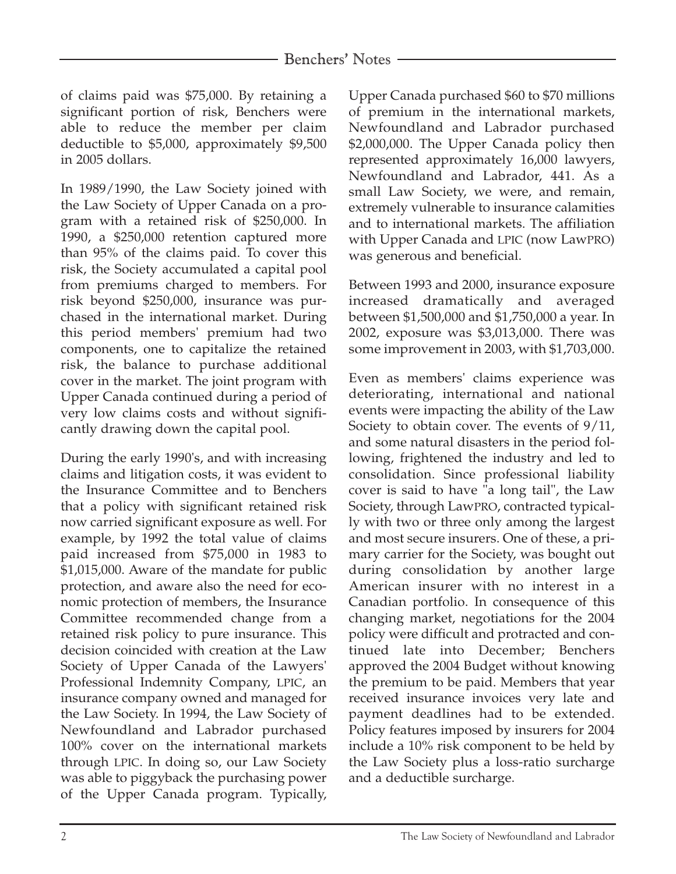of claims paid was \$75,000. By retaining a significant portion of risk, Benchers were able to reduce the member per claim deductible to \$5,000, approximately \$9,500 in 2005 dollars.

In 1989/1990, the Law Society joined with the Law Society of Upper Canada on a program with a retained risk of \$250,000. In 1990, a \$250,000 retention captured more than 95% of the claims paid. To cover this risk, the Society accumulated a capital pool from premiums charged to members. For risk beyond \$250,000, insurance was purchased in the international market. During this period members' premium had two components, one to capitalize the retained risk, the balance to purchase additional cover in the market. The joint program with Upper Canada continued during a period of very low claims costs and without significantly drawing down the capital pool.

During the early 1990's, and with increasing claims and litigation costs, it was evident to the Insurance Committee and to Benchers that a policy with significant retained risk now carried significant exposure as well. For example, by 1992 the total value of claims paid increased from \$75,000 in 1983 to \$1,015,000. Aware of the mandate for public protection, and aware also the need for economic protection of members, the Insurance Committee recommended change from a retained risk policy to pure insurance. This decision coincided with creation at the Law Society of Upper Canada of the Lawyers' Professional Indemnity Company, LPIC, an insurance company owned and managed for the Law Society. In 1994, the Law Society of Newfoundland and Labrador purchased 100% cover on the international markets through LPIC. In doing so, our Law Society was able to piggyback the purchasing power of the Upper Canada program. Typically,

Upper Canada purchased \$60 to \$70 millions of premium in the international markets, Newfoundland and Labrador purchased \$2,000,000. The Upper Canada policy then represented approximately 16,000 lawyers, Newfoundland and Labrador, 441. As a small Law Society, we were, and remain, extremely vulnerable to insurance calamities and to international markets. The affiliation with Upper Canada and LPIC (now LawPRO) was generous and beneficial.

Between 1993 and 2000, insurance exposure increased dramatically and averaged between \$1,500,000 and \$1,750,000 a year. In 2002, exposure was \$3,013,000. There was some improvement in 2003, with \$1,703,000.

Even as members' claims experience was deteriorating, international and national events were impacting the ability of the Law Society to obtain cover. The events of 9/11, and some natural disasters in the period following, frightened the industry and led to consolidation. Since professional liability cover is said to have "a long tail", the Law Society, through LawPRO, contracted typically with two or three only among the largest and most secure insurers. One of these, a primary carrier for the Society, was bought out during consolidation by another large American insurer with no interest in a Canadian portfolio. In consequence of this changing market, negotiations for the 2004 policy were difficult and protracted and continued late into December; Benchers approved the 2004 Budget without knowing the premium to be paid. Members that year received insurance invoices very late and payment deadlines had to be extended. Policy features imposed by insurers for 2004 include a 10% risk component to be held by the Law Society plus a loss-ratio surcharge and a deductible surcharge.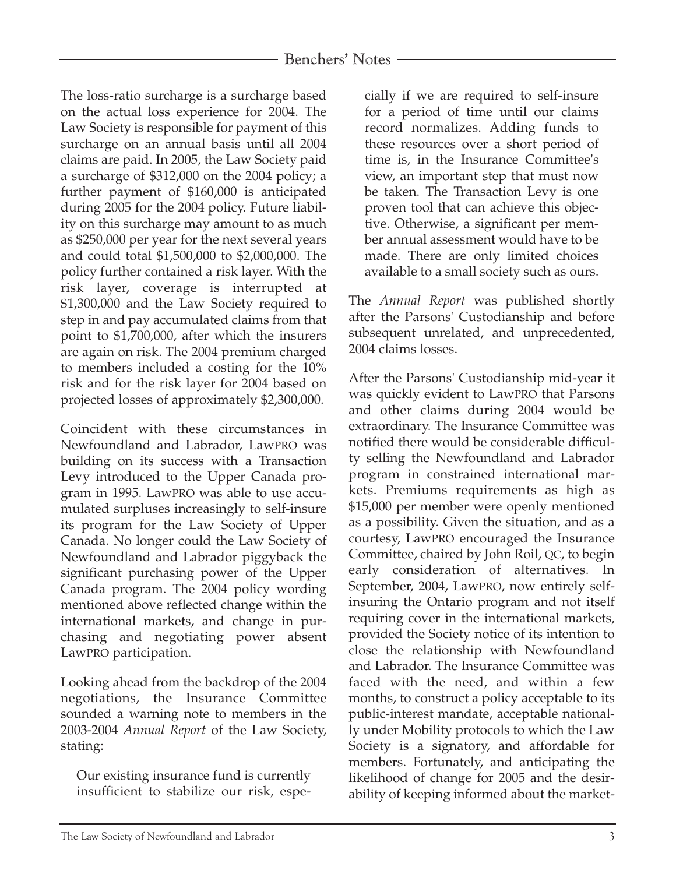## Benchers' Notes

The loss-ratio surcharge is a surcharge based on the actual loss experience for 2004. The Law Society is responsible for payment of this surcharge on an annual basis until all 2004 claims are paid. In 2005, the Law Society paid a surcharge of \$312,000 on the 2004 policy; a further payment of \$160,000 is anticipated during 2005 for the 2004 policy. Future liability on this surcharge may amount to as much as \$250,000 per year for the next several years and could total \$1,500,000 to \$2,000,000. The policy further contained a risk layer. With the risk layer, coverage is interrupted at \$1,300,000 and the Law Society required to step in and pay accumulated claims from that point to \$1,700,000, after which the insurers are again on risk. The 2004 premium charged to members included a costing for the 10% risk and for the risk layer for 2004 based on projected losses of approximately \$2,300,000.

Coincident with these circumstances in Newfoundland and Labrador, LawPRO was building on its success with a Transaction Levy introduced to the Upper Canada program in 1995. LawPRO was able to use accumulated surpluses increasingly to self-insure its program for the Law Society of Upper Canada. No longer could the Law Society of Newfoundland and Labrador piggyback the significant purchasing power of the Upper Canada program. The 2004 policy wording mentioned above reflected change within the international markets, and change in purchasing and negotiating power absent LawPRO participation.

Looking ahead from the backdrop of the 2004 negotiations, the Insurance Committee sounded a warning note to members in the 2003-2004 *Annual Report* of the Law Society, stating:

Our existing insurance fund is currently insufficient to stabilize our risk, especially if we are required to self-insure for a period of time until our claims record normalizes. Adding funds to these resources over a short period of time is, in the Insurance Committee's view, an important step that must now be taken. The Transaction Levy is one proven tool that can achieve this objective. Otherwise, a significant per member annual assessment would have to be made. There are only limited choices available to a small society such as ours.

The *Annual Report* was published shortly after the Parsons' Custodianship and before subsequent unrelated, and unprecedented, 2004 claims losses.

After the Parsons' Custodianship mid-year it was quickly evident to LawPRO that Parsons and other claims during 2004 would be extraordinary. The Insurance Committee was notified there would be considerable difficulty selling the Newfoundland and Labrador program in constrained international markets. Premiums requirements as high as \$15,000 per member were openly mentioned as a possibility. Given the situation, and as a courtesy, LawPRO encouraged the Insurance Committee, chaired by John Roil, QC, to begin early consideration of alternatives. In September, 2004, LawPRO, now entirely selfinsuring the Ontario program and not itself requiring cover in the international markets, provided the Society notice of its intention to close the relationship with Newfoundland and Labrador. The Insurance Committee was faced with the need, and within a few months, to construct a policy acceptable to its public-interest mandate, acceptable nationally under Mobility protocols to which the Law Society is a signatory, and affordable for members. Fortunately, and anticipating the likelihood of change for 2005 and the desirability of keeping informed about the market-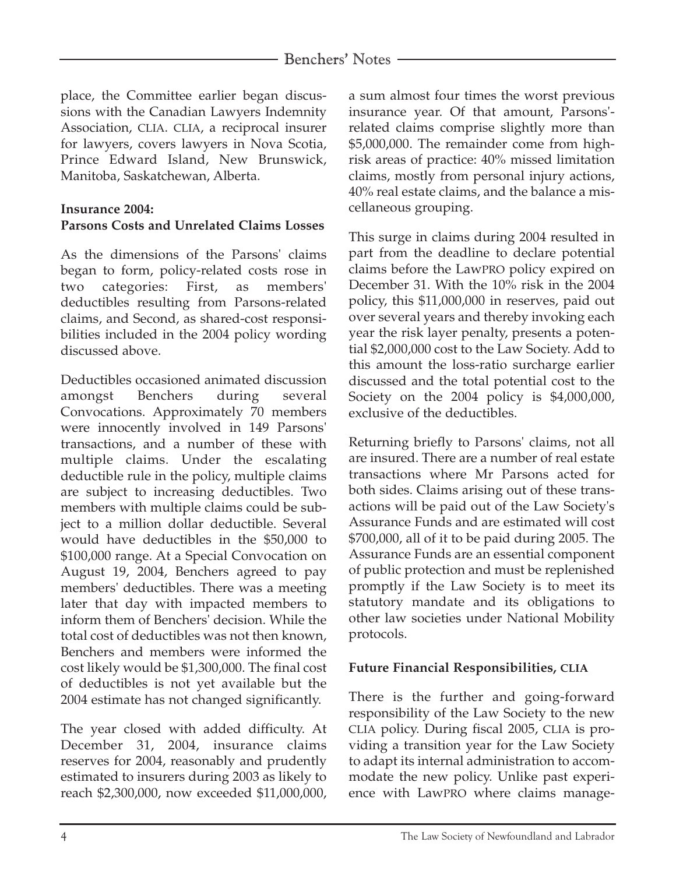# Benchers' Notes

place, the Committee earlier began discussions with the Canadian Lawyers Indemnity Association, CLIA. CLIA, a reciprocal insurer for lawyers, covers lawyers in Nova Scotia, Prince Edward Island, New Brunswick, Manitoba, Saskatchewan, Alberta.

### **Insurance 2004:**

## **Parsons Costs and Unrelated Claims Losses**

As the dimensions of the Parsons' claims began to form, policy-related costs rose in two categories: First, as members' deductibles resulting from Parsons-related claims, and Second, as shared-cost responsibilities included in the 2004 policy wording discussed above.

Deductibles occasioned animated discussion amongst Benchers during several Convocations. Approximately 70 members were innocently involved in 149 Parsons' transactions, and a number of these with multiple claims. Under the escalating deductible rule in the policy, multiple claims are subject to increasing deductibles. Two members with multiple claims could be subject to a million dollar deductible. Several would have deductibles in the \$50,000 to \$100,000 range. At a Special Convocation on August 19, 2004, Benchers agreed to pay members' deductibles. There was a meeting later that day with impacted members to inform them of Benchers' decision. While the total cost of deductibles was not then known, Benchers and members were informed the cost likely would be \$1,300,000. The final cost of deductibles is not yet available but the 2004 estimate has not changed significantly.

The year closed with added difficulty. At December 31, 2004, insurance claims reserves for 2004, reasonably and prudently estimated to insurers during 2003 as likely to reach \$2,300,000, now exceeded \$11,000,000, a sum almost four times the worst previous insurance year. Of that amount, Parsons' related claims comprise slightly more than \$5,000,000. The remainder come from highrisk areas of practice: 40% missed limitation claims, mostly from personal injury actions, 40% real estate claims, and the balance a miscellaneous grouping.

This surge in claims during 2004 resulted in part from the deadline to declare potential claims before the LawPRO policy expired on December 31. With the 10% risk in the 2004 policy, this \$11,000,000 in reserves, paid out over several years and thereby invoking each year the risk layer penalty, presents a potential \$2,000,000 cost to the Law Society. Add to this amount the loss-ratio surcharge earlier discussed and the total potential cost to the Society on the 2004 policy is \$4,000,000, exclusive of the deductibles.

Returning briefly to Parsons' claims, not all are insured. There are a number of real estate transactions where Mr Parsons acted for both sides. Claims arising out of these transactions will be paid out of the Law Society's Assurance Funds and are estimated will cost \$700,000, all of it to be paid during 2005. The Assurance Funds are an essential component of public protection and must be replenished promptly if the Law Society is to meet its statutory mandate and its obligations to other law societies under National Mobility protocols.

### **Future Financial Responsibilities, CLIA**

There is the further and going-forward responsibility of the Law Society to the new CLIA policy. During fiscal 2005, CLIA is providing a transition year for the Law Society to adapt its internal administration to accommodate the new policy. Unlike past experience with LawPRO where claims manage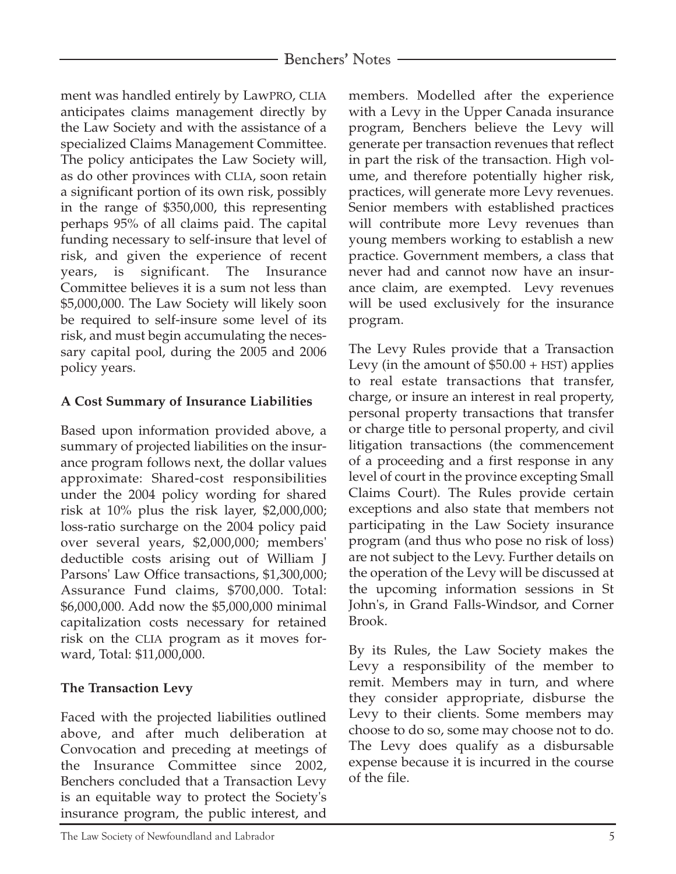ment was handled entirely by LawPRO, CLIA anticipates claims management directly by the Law Society and with the assistance of a specialized Claims Management Committee. The policy anticipates the Law Society will, as do other provinces with CLIA, soon retain a significant portion of its own risk, possibly in the range of \$350,000, this representing perhaps 95% of all claims paid. The capital funding necessary to self-insure that level of risk, and given the experience of recent years, is significant. The Insurance Committee believes it is a sum not less than \$5,000,000. The Law Society will likely soon be required to self-insure some level of its risk, and must begin accumulating the necessary capital pool, during the 2005 and 2006 policy years.

## **A Cost Summary of Insurance Liabilities**

Based upon information provided above, a summary of projected liabilities on the insurance program follows next, the dollar values approximate: Shared-cost responsibilities under the 2004 policy wording for shared risk at 10% plus the risk layer, \$2,000,000; loss-ratio surcharge on the 2004 policy paid over several years, \$2,000,000; members' deductible costs arising out of William J Parsons' Law Office transactions, \$1,300,000; Assurance Fund claims, \$700,000. Total: \$6,000,000. Add now the \$5,000,000 minimal capitalization costs necessary for retained risk on the CLIA program as it moves forward, Total: \$11,000,000.

# **The Transaction Levy**

Faced with the projected liabilities outlined above, and after much deliberation at Convocation and preceding at meetings of the Insurance Committee since 2002, Benchers concluded that a Transaction Levy is an equitable way to protect the Society's insurance program, the public interest, and

members. Modelled after the experience with a Levy in the Upper Canada insurance program, Benchers believe the Levy will generate per transaction revenues that reflect in part the risk of the transaction. High volume, and therefore potentially higher risk, practices, will generate more Levy revenues. Senior members with established practices will contribute more Levy revenues than young members working to establish a new practice. Government members, a class that never had and cannot now have an insurance claim, are exempted. Levy revenues will be used exclusively for the insurance program.

The Levy Rules provide that a Transaction Levy (in the amount of  $$50.00 + HST$ ) applies to real estate transactions that transfer, charge, or insure an interest in real property, personal property transactions that transfer or charge title to personal property, and civil litigation transactions (the commencement of a proceeding and a first response in any level of court in the province excepting Small Claims Court). The Rules provide certain exceptions and also state that members not participating in the Law Society insurance program (and thus who pose no risk of loss) are not subject to the Levy. Further details on the operation of the Levy will be discussed at the upcoming information sessions in St John's, in Grand Falls-Windsor, and Corner Brook.

By its Rules, the Law Society makes the Levy a responsibility of the member to remit. Members may in turn, and where they consider appropriate, disburse the Levy to their clients. Some members may choose to do so, some may choose not to do. The Levy does qualify as a disbursable expense because it is incurred in the course of the file.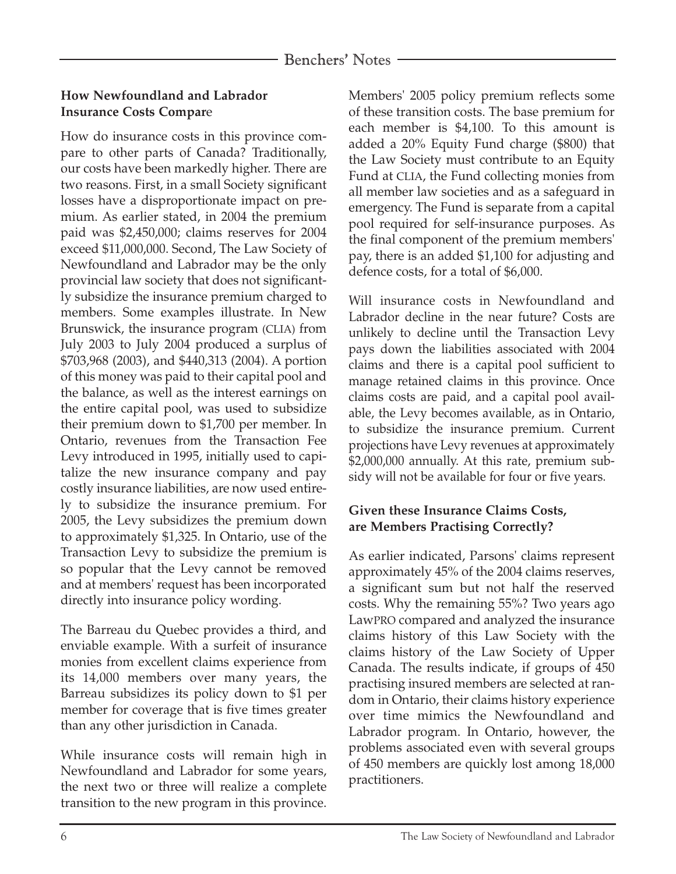## **How Newfoundland and Labrador Insurance Costs Compar**e

How do insurance costs in this province compare to other parts of Canada? Traditionally, our costs have been markedly higher. There are two reasons. First, in a small Society significant losses have a disproportionate impact on premium. As earlier stated, in 2004 the premium paid was \$2,450,000; claims reserves for 2004 exceed \$11,000,000. Second, The Law Society of Newfoundland and Labrador may be the only provincial law society that does not significantly subsidize the insurance premium charged to members. Some examples illustrate. In New Brunswick, the insurance program (CLIA) from July 2003 to July 2004 produced a surplus of \$703,968 (2003), and \$440,313 (2004). A portion of this money was paid to their capital pool and the balance, as well as the interest earnings on the entire capital pool, was used to subsidize their premium down to \$1,700 per member. In Ontario, revenues from the Transaction Fee Levy introduced in 1995, initially used to capitalize the new insurance company and pay costly insurance liabilities, are now used entirely to subsidize the insurance premium. For 2005, the Levy subsidizes the premium down to approximately \$1,325. In Ontario, use of the Transaction Levy to subsidize the premium is so popular that the Levy cannot be removed and at members' request has been incorporated directly into insurance policy wording.

The Barreau du Quebec provides a third, and enviable example. With a surfeit of insurance monies from excellent claims experience from its 14,000 members over many years, the Barreau subsidizes its policy down to \$1 per member for coverage that is five times greater than any other jurisdiction in Canada.

While insurance costs will remain high in Newfoundland and Labrador for some years, the next two or three will realize a complete transition to the new program in this province. Members' 2005 policy premium reflects some of these transition costs. The base premium for each member is \$4,100. To this amount is added a 20% Equity Fund charge (\$800) that the Law Society must contribute to an Equity Fund at CLIA, the Fund collecting monies from all member law societies and as a safeguard in emergency. The Fund is separate from a capital pool required for self-insurance purposes. As the final component of the premium members' pay, there is an added \$1,100 for adjusting and defence costs, for a total of \$6,000.

Will insurance costs in Newfoundland and Labrador decline in the near future? Costs are unlikely to decline until the Transaction Levy pays down the liabilities associated with 2004 claims and there is a capital pool sufficient to manage retained claims in this province. Once claims costs are paid, and a capital pool available, the Levy becomes available, as in Ontario, to subsidize the insurance premium. Current projections have Levy revenues at approximately \$2,000,000 annually. At this rate, premium subsidy will not be available for four or five years.

## **Given these Insurance Claims Costs, are Members Practising Correctly?**

As earlier indicated, Parsons' claims represent approximately 45% of the 2004 claims reserves, a significant sum but not half the reserved costs. Why the remaining 55%? Two years ago LawPRO compared and analyzed the insurance claims history of this Law Society with the claims history of the Law Society of Upper Canada. The results indicate, if groups of 450 practising insured members are selected at random in Ontario, their claims history experience over time mimics the Newfoundland and Labrador program. In Ontario, however, the problems associated even with several groups of 450 members are quickly lost among 18,000 practitioners.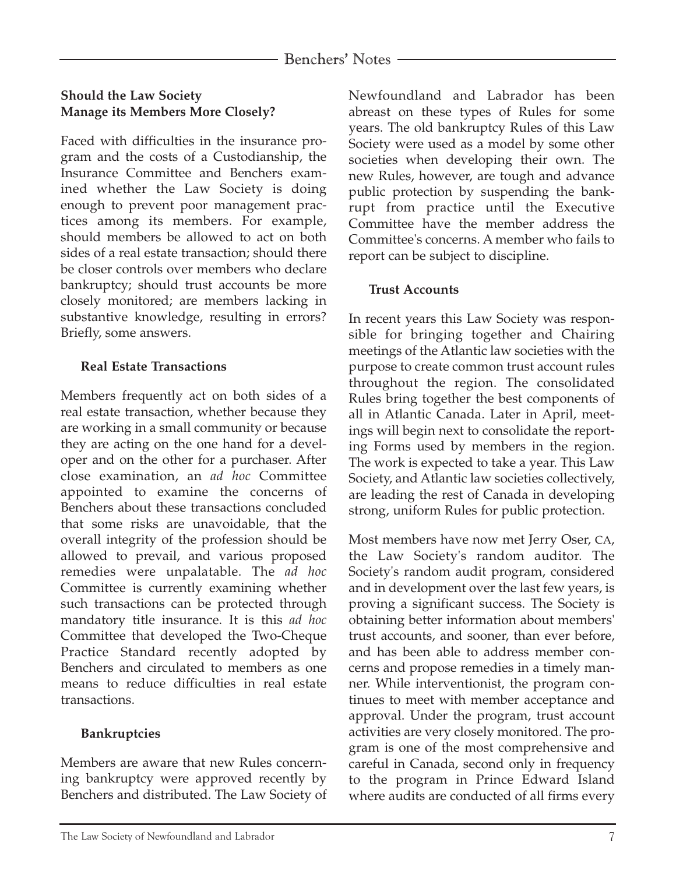## **Should the Law Society Manage its Members More Closely?**

Faced with difficulties in the insurance program and the costs of a Custodianship, the Insurance Committee and Benchers examined whether the Law Society is doing enough to prevent poor management practices among its members. For example, should members be allowed to act on both sides of a real estate transaction; should there be closer controls over members who declare bankruptcy; should trust accounts be more closely monitored; are members lacking in substantive knowledge, resulting in errors? Briefly, some answers.

## **Real Estate Transactions**

Members frequently act on both sides of a real estate transaction, whether because they are working in a small community or because they are acting on the one hand for a developer and on the other for a purchaser. After close examination, an *ad hoc* Committee appointed to examine the concerns of Benchers about these transactions concluded that some risks are unavoidable, that the overall integrity of the profession should be allowed to prevail, and various proposed remedies were unpalatable. The *ad hoc* Committee is currently examining whether such transactions can be protected through mandatory title insurance. It is this *ad hoc* Committee that developed the Two-Cheque Practice Standard recently adopted by Benchers and circulated to members as one means to reduce difficulties in real estate transactions.

# **Bankruptcies**

Members are aware that new Rules concerning bankruptcy were approved recently by Benchers and distributed. The Law Society of Newfoundland and Labrador has been abreast on these types of Rules for some years. The old bankruptcy Rules of this Law Society were used as a model by some other societies when developing their own. The new Rules, however, are tough and advance public protection by suspending the bankrupt from practice until the Executive Committee have the member address the Committee's concerns. A member who fails to report can be subject to discipline.

### **Trust Accounts**

In recent years this Law Society was responsible for bringing together and Chairing meetings of the Atlantic law societies with the purpose to create common trust account rules throughout the region. The consolidated Rules bring together the best components of all in Atlantic Canada. Later in April, meetings will begin next to consolidate the reporting Forms used by members in the region. The work is expected to take a year. This Law Society, and Atlantic law societies collectively, are leading the rest of Canada in developing strong, uniform Rules for public protection.

Most members have now met Jerry Oser, CA, the Law Society's random auditor. The Society's random audit program, considered and in development over the last few years, is proving a significant success. The Society is obtaining better information about members' trust accounts, and sooner, than ever before, and has been able to address member concerns and propose remedies in a timely manner. While interventionist, the program continues to meet with member acceptance and approval. Under the program, trust account activities are very closely monitored. The program is one of the most comprehensive and careful in Canada, second only in frequency to the program in Prince Edward Island where audits are conducted of all firms every